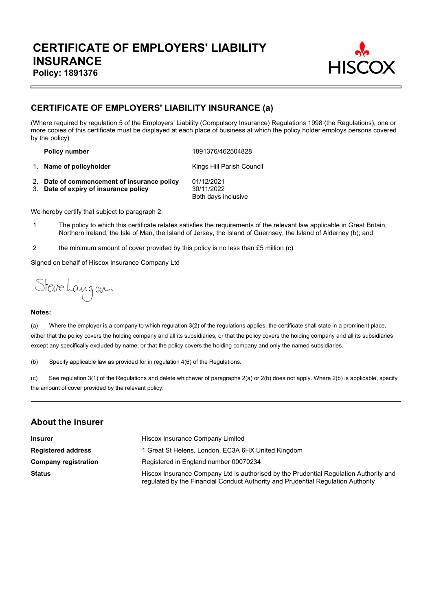

### **CERTIFICATE OF EMPLOYERS' LIABILITY INSURANCE (a)**

(Where required by regulation 5 of the Employers' Liability (Compulsory Insurance) Regulations 1998 (the Regulations), one or more copies of this certificate must be displayed at each place of business at which the policy holder employs persons covered by the policy)

**Policy number** 1891376/462504828

1. **Name of policyholder** Kings Hill Parish Council

2. **Date of commencement of insurance policy** 01/12/2021 3. **Date of expiry of insurance policy** 30/11/2022 Both days inclusive

We hereby certify that subject to paragraph 2:

- 1 The policy to which this certificate relates satisfies the requirements of the relevant law applicable in Great Britain, Northern Ireland, the Isle of Man, the Island of Jersey, the Island of Guernsey, the Island of Alderney (b); and
- 2 the minimum amount of cover provided by this policy is no less than £5 million (c).

Signed on behalf of Hiscox Insurance Company Ltd

Steve Langan

#### **Notes:**

(a) Where the employer is a company to which regulation 3(2) of the regulations applies, the certificate shall state in a prominent place, either that the policy covers the holding company and all its subsidiaries, or that the policy covers the holding company and all its subsidiaries except any specifically excluded by name, or that the policy covers the holding company and only the named subsidiaries.

(b) Specify applicable law as provided for in regulation 4(6) of the Regulations.

(c) See regulation 3(1) of the Regulations and delete whichever of paragraphs 2(a) or 2(b) does not apply. Where 2(b) is applicable, specify the amount of cover provided by the relevant policy.

#### **About the insurer**

| <b>Insurer</b>              | Hiscox Insurance Company Limited                                                                                                                                          |  |  |
|-----------------------------|---------------------------------------------------------------------------------------------------------------------------------------------------------------------------|--|--|
| <b>Registered address</b>   | 1 Great St Helens, London, EC3A 6HX United Kingdom                                                                                                                        |  |  |
| <b>Company registration</b> | Registered in England number 00070234                                                                                                                                     |  |  |
| <b>Status</b>               | Hiscox Insurance Company Ltd is authorised by the Prudential Regulation Authority and<br>regulated by the Financial Conduct Authority and Prudential Regulation Authority |  |  |